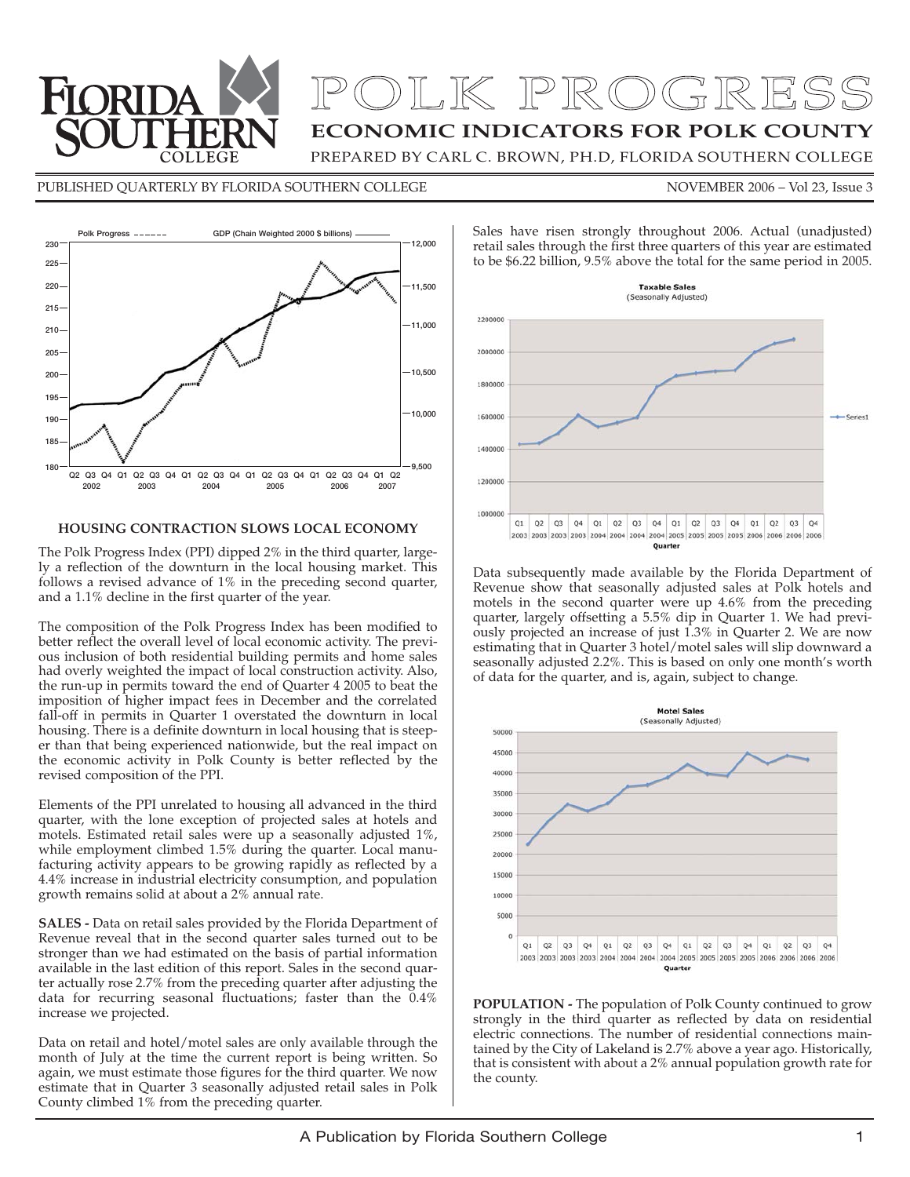

## **ECONOMIC INDICATORS FOR POLK COUNTY** OLK PROGRESS

PREPARED BY CARL C. BROWN, PH.D, FLORIDA SOUTHERN COLLEGE

#### PUBLISHED QUARTERLY BY FLORIDA SOUTHERN COLLEGE NOVEMBER 2006 - Vol 23, Issue 3



#### **HOUSING CONTRACTION SLOWS LOCAL ECONOMY**

The Polk Progress Index (PPI) dipped 2% in the third quarter, largely a reflection of the downturn in the local housing market. This follows a revised advance of 1% in the preceding second quarter, and a 1.1% decline in the first quarter of the year.

The composition of the Polk Progress Index has been modified to better reflect the overall level of local economic activity. The previous inclusion of both residential building permits and home sales had overly weighted the impact of local construction activity. Also, the run-up in permits toward the end of Quarter 4 2005 to beat the imposition of higher impact fees in December and the correlated fall-off in permits in Quarter 1 overstated the downturn in local housing. There is a definite downturn in local housing that is steeper than that being experienced nationwide, but the real impact on the economic activity in Polk County is better reflected by the revised composition of the PPI.

Elements of the PPI unrelated to housing all advanced in the third quarter, with the lone exception of projected sales at hotels and motels. Estimated retail sales were up a seasonally adjusted 1%, while employment climbed 1.5% during the quarter. Local manufacturing activity appears to be growing rapidly as reflected by a 4.4% increase in industrial electricity consumption, and population growth remains solid at about a 2% annual rate.

**SALES -** Data on retail sales provided by the Florida Department of Revenue reveal that in the second quarter sales turned out to be stronger than we had estimated on the basis of partial information available in the last edition of this report. Sales in the second quarter actually rose 2.7% from the preceding quarter after adjusting the data for recurring seasonal fluctuations; faster than the  $0.4\%$ increase we projected.

Data on retail and hotel/motel sales are only available through the month of July at the time the current report is being written. So again, we must estimate those figures for the third quarter. We now estimate that in Quarter 3 seasonally adjusted retail sales in Polk County climbed 1% from the preceding quarter.



Sales have risen strongly throughout 2006. Actual (unadjusted) retail sales through the first three quarters of this year are estimated to be \$6.22 billion, 9.5% above the total for the same period in 2005.

Data subsequently made available by the Florida Department of Revenue show that seasonally adjusted sales at Polk hotels and motels in the second quarter were up 4.6% from the preceding quarter, largely offsetting a 5.5% dip in Quarter 1. We had previously projected an increase of just 1.3% in Quarter 2. We are now estimating that in Quarter 3 hotel/motel sales will slip downward a seasonally adjusted 2.2%. This is based on only one month's worth of data for the quarter, and is, again, subject to change.



**POPULATION -** The population of Polk County continued to grow strongly in the third quarter as reflected by data on residential electric connections. The number of residential connections maintained by the City of Lakeland is 2.7% above a year ago. Historically, that is consistent with about a 2% annual population growth rate for the county.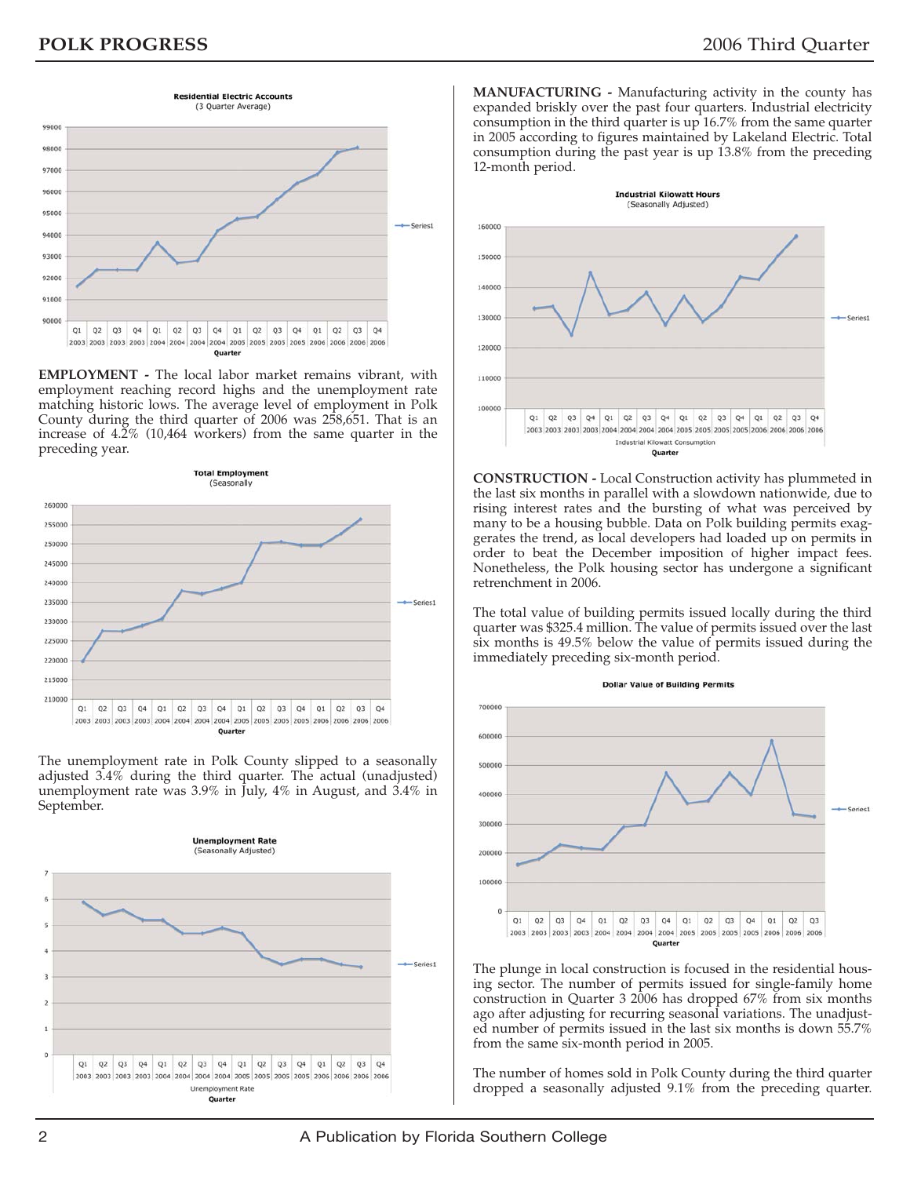

**EMPLOYMENT -** The local labor market remains vibrant, with employment reaching record highs and the unemployment rate matching historic lows. The average level of employment in Polk County during the third quarter of 2006 was 258,651. That is an increase of 4.2% (10,464 workers) from the same quarter in the preceding year.



The unemployment rate in Polk County slipped to a seasonally adjusted 3.4% during the third quarter. The actual (unadjusted) unemployment rate was 3.9% in July, 4% in August, and 3.4% in September.



**MANUFACTURING -** Manufacturing activity in the county has expanded briskly over the past four quarters. Industrial electricity consumption in the third quarter is up 16.7% from the same quarter in 2005 according to figures maintained by Lakeland Electric. Total consumption during the past year is up 13.8% from the preceding 12-month period.



**CONSTRUCTION -** Local Construction activity has plummeted in the last six months in parallel with a slowdown nationwide, due to rising interest rates and the bursting of what was perceived by many to be a housing bubble. Data on Polk building permits exaggerates the trend, as local developers had loaded up on permits in order to beat the December imposition of higher impact fees. Nonetheless, the Polk housing sector has undergone a significant retrenchment in 2006.

The total value of building permits issued locally during the third quarter was \$325.4 million. The value of permits issued over the last six months is 49.5% below the value of permits issued during the immediately preceding six-month period.



The plunge in local construction is focused in the residential housing sector. The number of permits issued for single-family home construction in Quarter 3 2006 has dropped 67% from six months ago after adjusting for recurring seasonal variations. The unadjusted number of permits issued in the last six months is down 55.7% from the same six-month period in 2005.

The number of homes sold in Polk County during the third quarter dropped a seasonally adjusted 9.1% from the preceding quarter.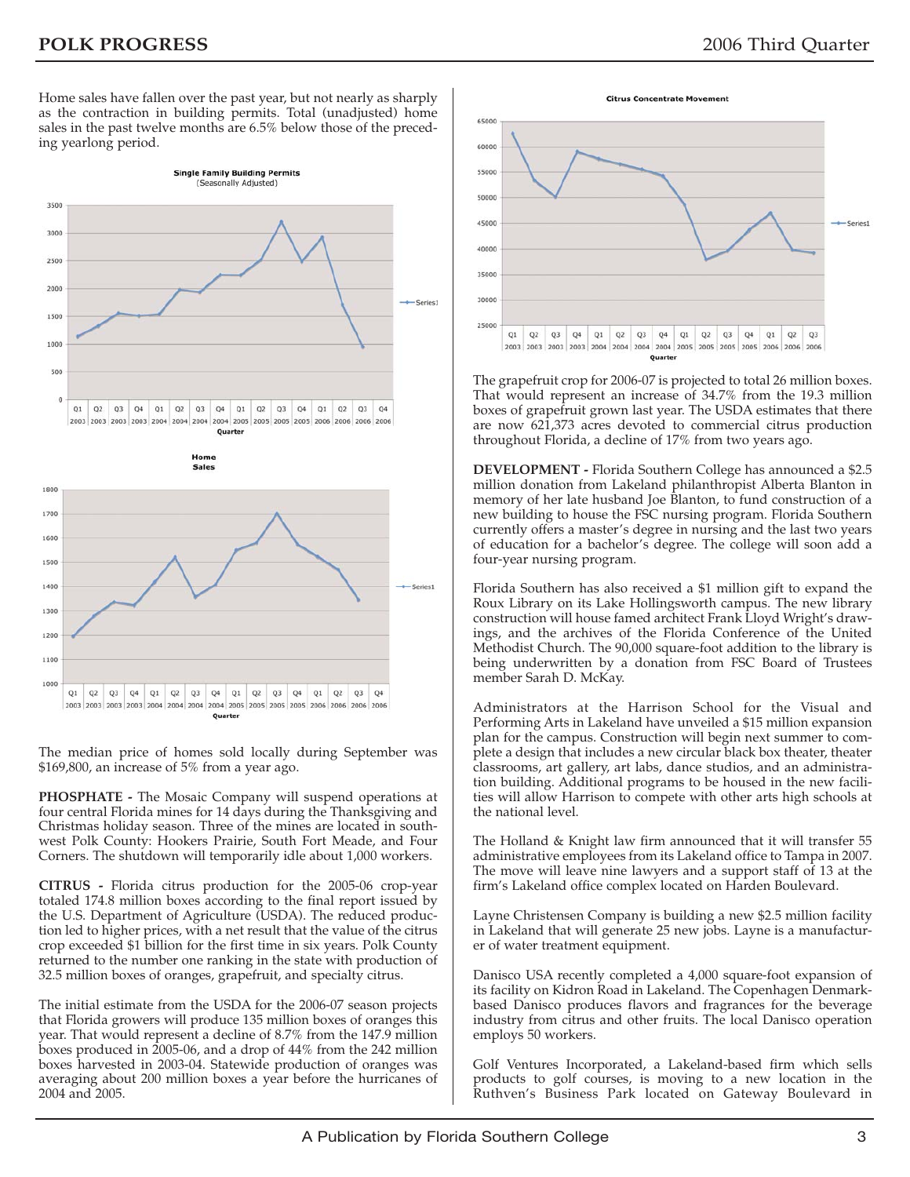Home sales have fallen over the past year, but not nearly as sharply as the contraction in building permits. Total (unadjusted) home sales in the past twelve months are 6.5% below those of the preceding yearlong period.



The median price of homes sold locally during September was \$169,800, an increase of 5% from a year ago.

**PHOSPHATE -** The Mosaic Company will suspend operations at four central Florida mines for 14 days during the Thanksgiving and Christmas holiday season. Three of the mines are located in southwest Polk County: Hookers Prairie, South Fort Meade, and Four Corners. The shutdown will temporarily idle about 1,000 workers.

**CITRUS -** Florida citrus production for the 2005-06 crop-year totaled 174.8 million boxes according to the final report issued by the U.S. Department of Agriculture (USDA). The reduced production led to higher prices, with a net result that the value of the citrus crop exceeded \$1 billion for the first time in six years. Polk County returned to the number one ranking in the state with production of 32.5 million boxes of oranges, grapefruit, and specialty citrus.

The initial estimate from the USDA for the 2006-07 season projects that Florida growers will produce 135 million boxes of oranges this year. That would represent a decline of 8.7% from the 147.9 million boxes produced in 2005-06, and a drop of 44% from the 242 million boxes harvested in 2003-04. Statewide production of oranges was averaging about 200 million boxes a year before the hurricanes of 2004 and 2005.



The grapefruit crop for 2006-07 is projected to total 26 million boxes. That would represent an increase of 34.7% from the 19.3 million boxes of grapefruit grown last year. The USDA estimates that there are now 621,373 acres devoted to commercial citrus production throughout Florida, a decline of 17% from two years ago.

**DEVELOPMENT -** Florida Southern College has announced a \$2.5 million donation from Lakeland philanthropist Alberta Blanton in memory of her late husband Joe Blanton, to fund construction of a new building to house the FSC nursing program. Florida Southern currently offers a master's degree in nursing and the last two years of education for a bachelor's degree. The college will soon add a four-year nursing program.

Florida Southern has also received a \$1 million gift to expand the Roux Library on its Lake Hollingsworth campus. The new library construction will house famed architect Frank Lloyd Wright's drawings, and the archives of the Florida Conference of the United Methodist Church. The 90,000 square-foot addition to the library is being underwritten by a donation from FSC Board of Trustees member Sarah D. McKay.

Administrators at the Harrison School for the Visual and Performing Arts in Lakeland have unveiled a \$15 million expansion plan for the campus. Construction will begin next summer to complete a design that includes a new circular black box theater, theater classrooms, art gallery, art labs, dance studios, and an administration building. Additional programs to be housed in the new facilities will allow Harrison to compete with other arts high schools at the national level.

The Holland & Knight law firm announced that it will transfer 55 administrative employees from its Lakeland office to Tampa in 2007. The move will leave nine lawyers and a support staff of 13 at the firm's Lakeland office complex located on Harden Boulevard.

Layne Christensen Company is building a new \$2.5 million facility in Lakeland that will generate 25 new jobs. Layne is a manufacturer of water treatment equipment.

Danisco USA recently completed a 4,000 square-foot expansion of its facility on Kidron Road in Lakeland. The Copenhagen Denmarkbased Danisco produces flavors and fragrances for the beverage industry from citrus and other fruits. The local Danisco operation employs 50 workers.

Golf Ventures Incorporated, a Lakeland-based firm which sells products to golf courses, is moving to a new location in the Ruthven's Business Park located on Gateway Boulevard in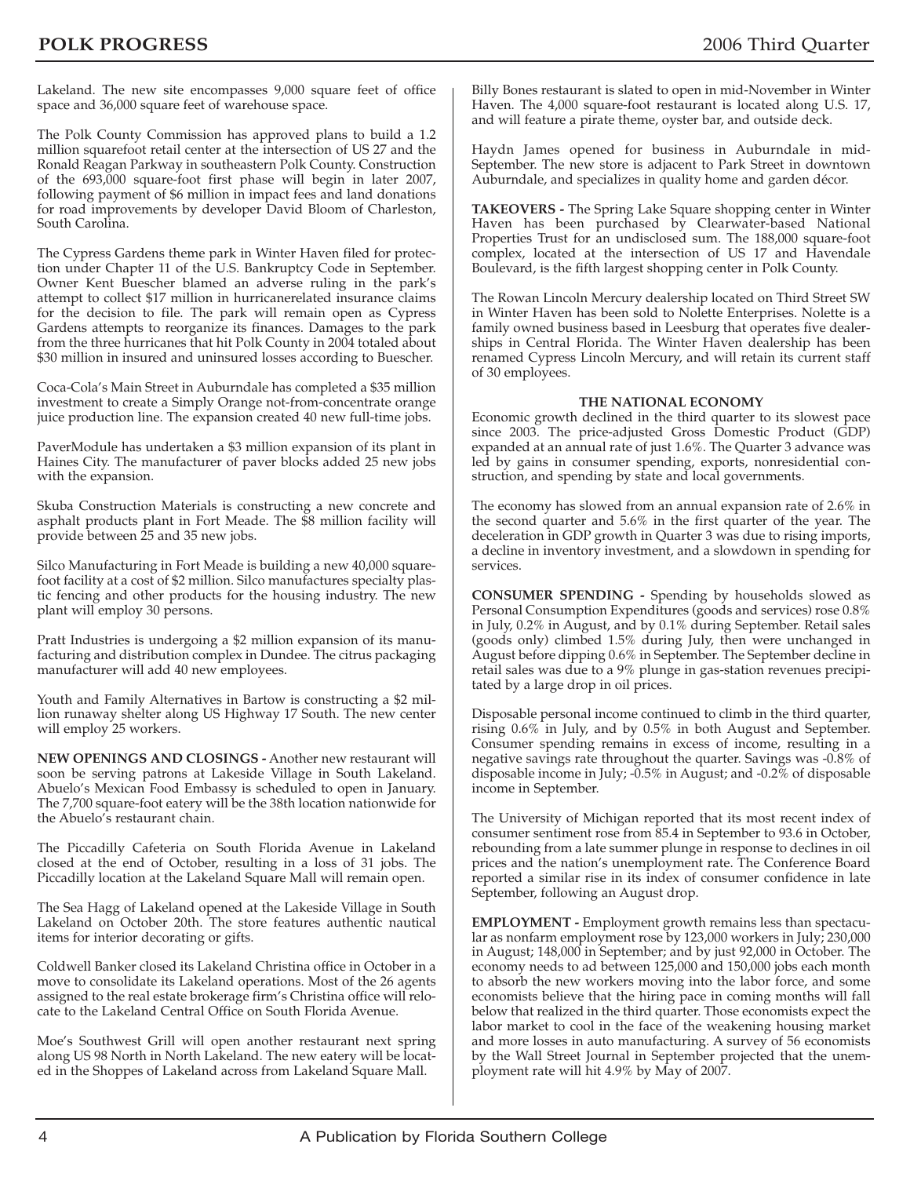Lakeland. The new site encompasses 9,000 square feet of office space and 36,000 square feet of warehouse space.

The Polk County Commission has approved plans to build a 1.2 million squarefoot retail center at the intersection of US 27 and the Ronald Reagan Parkway in southeastern Polk County. Construction of the 693,000 square-foot first phase will begin in later 2007, following payment of \$6 million in impact fees and land donations for road improvements by developer David Bloom of Charleston, South Carolina.

The Cypress Gardens theme park in Winter Haven filed for protection under Chapter 11 of the U.S. Bankruptcy Code in September. Owner Kent Buescher blamed an adverse ruling in the park's attempt to collect \$17 million in hurricanerelated insurance claims for the decision to file. The park will remain open as Cypress Gardens attempts to reorganize its finances. Damages to the park from the three hurricanes that hit Polk County in 2004 totaled about \$30 million in insured and uninsured losses according to Buescher.

Coca-Cola's Main Street in Auburndale has completed a \$35 million investment to create a Simply Orange not-from-concentrate orange juice production line. The expansion created 40 new full-time jobs.

PaverModule has undertaken a \$3 million expansion of its plant in Haines City. The manufacturer of paver blocks added 25 new jobs with the expansion.

Skuba Construction Materials is constructing a new concrete and asphalt products plant in Fort Meade. The \$8 million facility will provide between 25 and 35 new jobs.

Silco Manufacturing in Fort Meade is building a new 40,000 squarefoot facility at a cost of \$2 million. Silco manufactures specialty plastic fencing and other products for the housing industry. The new plant will employ 30 persons.

Pratt Industries is undergoing a \$2 million expansion of its manufacturing and distribution complex in Dundee. The citrus packaging manufacturer will add 40 new employees.

Youth and Family Alternatives in Bartow is constructing a \$2 million runaway shelter along US Highway 17 South. The new center will employ 25 workers.

**NEW OPENINGS AND CLOSINGS -** Another new restaurant will soon be serving patrons at Lakeside Village in South Lakeland. Abuelo's Mexican Food Embassy is scheduled to open in January. The 7,700 square-foot eatery will be the 38th location nationwide for the Abuelo's restaurant chain.

The Piccadilly Cafeteria on South Florida Avenue in Lakeland closed at the end of October, resulting in a loss of 31 jobs. The Piccadilly location at the Lakeland Square Mall will remain open.

The Sea Hagg of Lakeland opened at the Lakeside Village in South Lakeland on October 20th. The store features authentic nautical items for interior decorating or gifts.

Coldwell Banker closed its Lakeland Christina office in October in a move to consolidate its Lakeland operations. Most of the 26 agents assigned to the real estate brokerage firm's Christina office will relocate to the Lakeland Central Office on South Florida Avenue.

Moe's Southwest Grill will open another restaurant next spring along US 98 North in North Lakeland. The new eatery will be located in the Shoppes of Lakeland across from Lakeland Square Mall.

Billy Bones restaurant is slated to open in mid-November in Winter Haven. The 4,000 square-foot restaurant is located along U.S. 17, and will feature a pirate theme, oyster bar, and outside deck.

Haydn James opened for business in Auburndale in mid-September. The new store is adjacent to Park Street in downtown Auburndale, and specializes in quality home and garden décor.

**TAKEOVERS -** The Spring Lake Square shopping center in Winter Haven has been purchased by Clearwater-based National Properties Trust for an undisclosed sum. The 188,000 square-foot complex, located at the intersection of US 17 and Havendale Boulevard, is the fifth largest shopping center in Polk County.

The Rowan Lincoln Mercury dealership located on Third Street SW in Winter Haven has been sold to Nolette Enterprises. Nolette is a family owned business based in Leesburg that operates five dealerships in Central Florida. The Winter Haven dealership has been renamed Cypress Lincoln Mercury, and will retain its current staff of 30 employees.

#### **THE NATIONAL ECONOMY**

Economic growth declined in the third quarter to its slowest pace since 2003. The price-adjusted Gross Domestic Product (GDP) expanded at an annual rate of just 1.6%. The Quarter 3 advance was led by gains in consumer spending, exports, nonresidential construction, and spending by state and local governments.

The economy has slowed from an annual expansion rate of 2.6% in the second quarter and 5.6% in the first quarter of the year. The deceleration in GDP growth in Quarter 3 was due to rising imports, a decline in inventory investment, and a slowdown in spending for services.

**CONSUMER SPENDING -** Spending by households slowed as Personal Consumption Expenditures (goods and services) rose 0.8% in July, 0.2% in August, and by 0.1% during September. Retail sales (goods only) climbed 1.5% during July, then were unchanged in August before dipping 0.6% in September. The September decline in retail sales was due to a 9% plunge in gas-station revenues precipitated by a large drop in oil prices.

Disposable personal income continued to climb in the third quarter, rising 0.6% in July, and by 0.5% in both August and September. Consumer spending remains in excess of income, resulting in a negative savings rate throughout the quarter. Savings was -0.8% of disposable income in July; -0.5% in August; and -0.2% of disposable income in September.

The University of Michigan reported that its most recent index of consumer sentiment rose from 85.4 in September to 93.6 in October, rebounding from a late summer plunge in response to declines in oil prices and the nation's unemployment rate. The Conference Board reported a similar rise in its index of consumer confidence in late September, following an August drop.

**EMPLOYMENT -** Employment growth remains less than spectacular as nonfarm employment rose by 123,000 workers in July; 230,000 in August; 148,000 in September; and by just 92,000 in October. The economy needs to ad between 125,000 and 150,000 jobs each month to absorb the new workers moving into the labor force, and some economists believe that the hiring pace in coming months will fall below that realized in the third quarter. Those economists expect the labor market to cool in the face of the weakening housing market and more losses in auto manufacturing. A survey of 56 economists by the Wall Street Journal in September projected that the unemployment rate will hit 4.9% by May of 2007.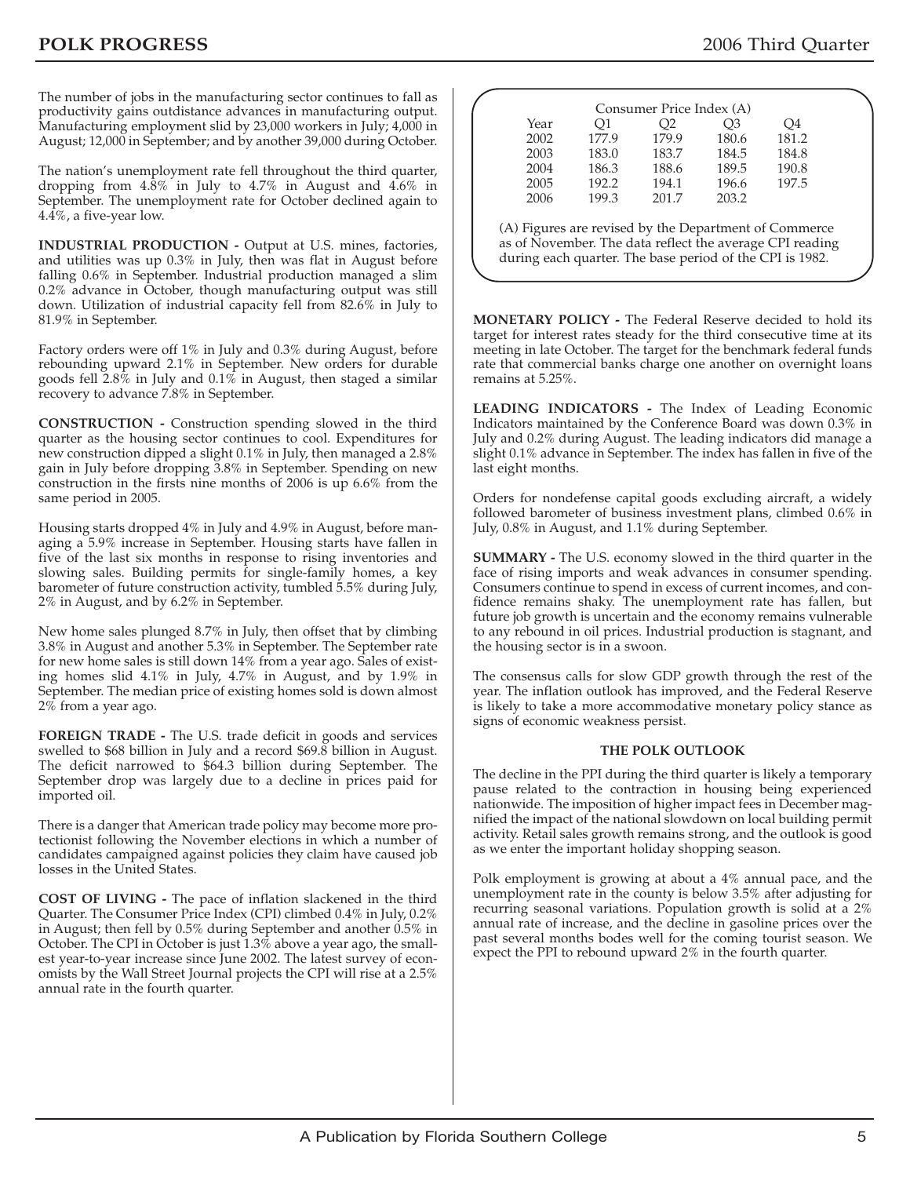The number of jobs in the manufacturing sector continues to fall as productivity gains outdistance advances in manufacturing output. Manufacturing employment slid by 23,000 workers in July; 4,000 in August; 12,000 in September; and by another 39,000 during October.

The nation's unemployment rate fell throughout the third quarter, dropping from 4.8% in July to 4.7% in August and 4.6% in September. The unemployment rate for October declined again to 4.4%, a five-year low.

**INDUSTRIAL PRODUCTION -** Output at U.S. mines, factories, and utilities was up 0.3% in July, then was flat in August before falling 0.6% in September. Industrial production managed a slim 0.2% advance in October, though manufacturing output was still down. Utilization of industrial capacity fell from 82.6% in July to 81.9% in September.

Factory orders were off 1% in July and 0.3% during August, before rebounding upward 2.1% in September. New orders for durable goods fell 2.8% in July and 0.1% in August, then staged a similar recovery to advance 7.8% in September.

**CONSTRUCTION -** Construction spending slowed in the third quarter as the housing sector continues to cool. Expenditures for new construction dipped a slight 0.1% in July, then managed a 2.8% gain in July before dropping 3.8% in September. Spending on new construction in the firsts nine months of 2006 is up 6.6% from the same period in 2005.

Housing starts dropped 4% in July and 4.9% in August, before managing a 5.9% increase in September. Housing starts have fallen in five of the last six months in response to rising inventories and slowing sales. Building permits for single-family homes, a key barometer of future construction activity, tumbled 5.5% during July, 2% in August, and by 6.2% in September.

New home sales plunged 8.7% in July, then offset that by climbing 3.8% in August and another 5.3% in September. The September rate for new home sales is still down 14% from a year ago. Sales of existing homes slid 4.1% in July, 4.7% in August, and by 1.9% in September. The median price of existing homes sold is down almost 2% from a year ago.

**FOREIGN TRADE -** The U.S. trade deficit in goods and services swelled to \$68 billion in July and a record \$69.8 billion in August. The deficit narrowed to \$64.3 billion during September. The September drop was largely due to a decline in prices paid for imported oil.

There is a danger that American trade policy may become more protectionist following the November elections in which a number of candidates campaigned against policies they claim have caused job losses in the United States.

**COST OF LIVING -** The pace of inflation slackened in the third Quarter. The Consumer Price Index (CPI) climbed 0.4% in July, 0.2% in August; then fell by 0.5% during September and another 0.5% in October. The CPI in October is just 1.3% above a year ago, the smallest year-to-year increase since June 2002. The latest survey of economists by the Wall Street Journal projects the CPI will rise at a 2.5% annual rate in the fourth quarter.

| 2002 | 177.9 | 179.9 | 180.6 | 181.2                                                 |
|------|-------|-------|-------|-------------------------------------------------------|
| 2003 | 183.0 | 183.7 | 184.5 | 184.8                                                 |
| 2004 | 186.3 | 188.6 | 189.5 | 190.8                                                 |
| 2005 | 192.2 | 194.1 | 196.6 | 197.5                                                 |
| 2006 | 199.3 | 201.7 | 203.2 |                                                       |
|      |       |       |       | (A) Figures are revised by the Department of Commerce |

**MONETARY POLICY -** The Federal Reserve decided to hold its target for interest rates steady for the third consecutive time at its meeting in late October. The target for the benchmark federal funds rate that commercial banks charge one another on overnight loans remains at 5.25%.

**LEADING INDICATORS -** The Index of Leading Economic Indicators maintained by the Conference Board was down 0.3% in July and 0.2% during August. The leading indicators did manage a slight 0.1% advance in September. The index has fallen in five of the last eight months.

Orders for nondefense capital goods excluding aircraft, a widely followed barometer of business investment plans, climbed 0.6% in July, 0.8% in August, and 1.1% during September.

**SUMMARY -** The U.S. economy slowed in the third quarter in the face of rising imports and weak advances in consumer spending. Consumers continue to spend in excess of current incomes, and confidence remains shaky. The unemployment rate has fallen, but future job growth is uncertain and the economy remains vulnerable to any rebound in oil prices. Industrial production is stagnant, and the housing sector is in a swoon.

The consensus calls for slow GDP growth through the rest of the year. The inflation outlook has improved, and the Federal Reserve is likely to take a more accommodative monetary policy stance as signs of economic weakness persist.

#### **THE POLK OUTLOOK**

The decline in the PPI during the third quarter is likely a temporary pause related to the contraction in housing being experienced nationwide. The imposition of higher impact fees in December magnified the impact of the national slowdown on local building permit activity. Retail sales growth remains strong, and the outlook is good as we enter the important holiday shopping season.

Polk employment is growing at about a 4% annual pace, and the unemployment rate in the county is below 3.5% after adjusting for recurring seasonal variations. Population growth is solid at a 2% annual rate of increase, and the decline in gasoline prices over the past several months bodes well for the coming tourist season. We expect the PPI to rebound upward 2% in the fourth quarter.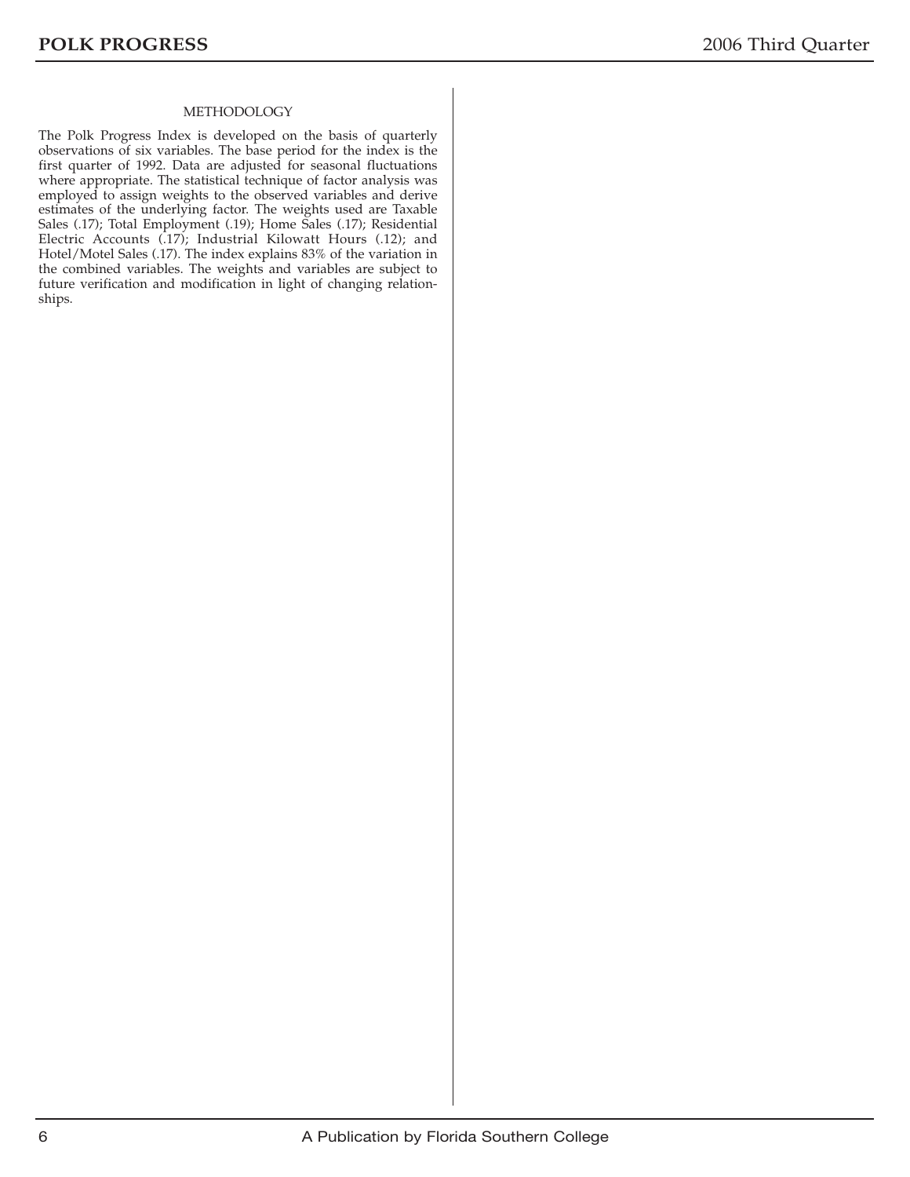#### METHODOLOGY

The Polk Progress Index is developed on the basis of quarterly observations of six variables. The base period for the index is the first quarter of 1992. Data are adjusted for seasonal fluctuations where appropriate. The statistical technique of factor analysis was employed to assign weights to the observed variables and derive estimates of the underlying factor. The weights used are Taxable Sales (.17); Total Employment (.19); Home Sales (.17); Residential Electric Accounts (.17); Industrial Kilowatt Hours (.12); and Hotel/Motel Sales (.17). The index explains 83% of the variation in the combined variables. The weights and variables are subject to future verification and modification in light of changing relationships.